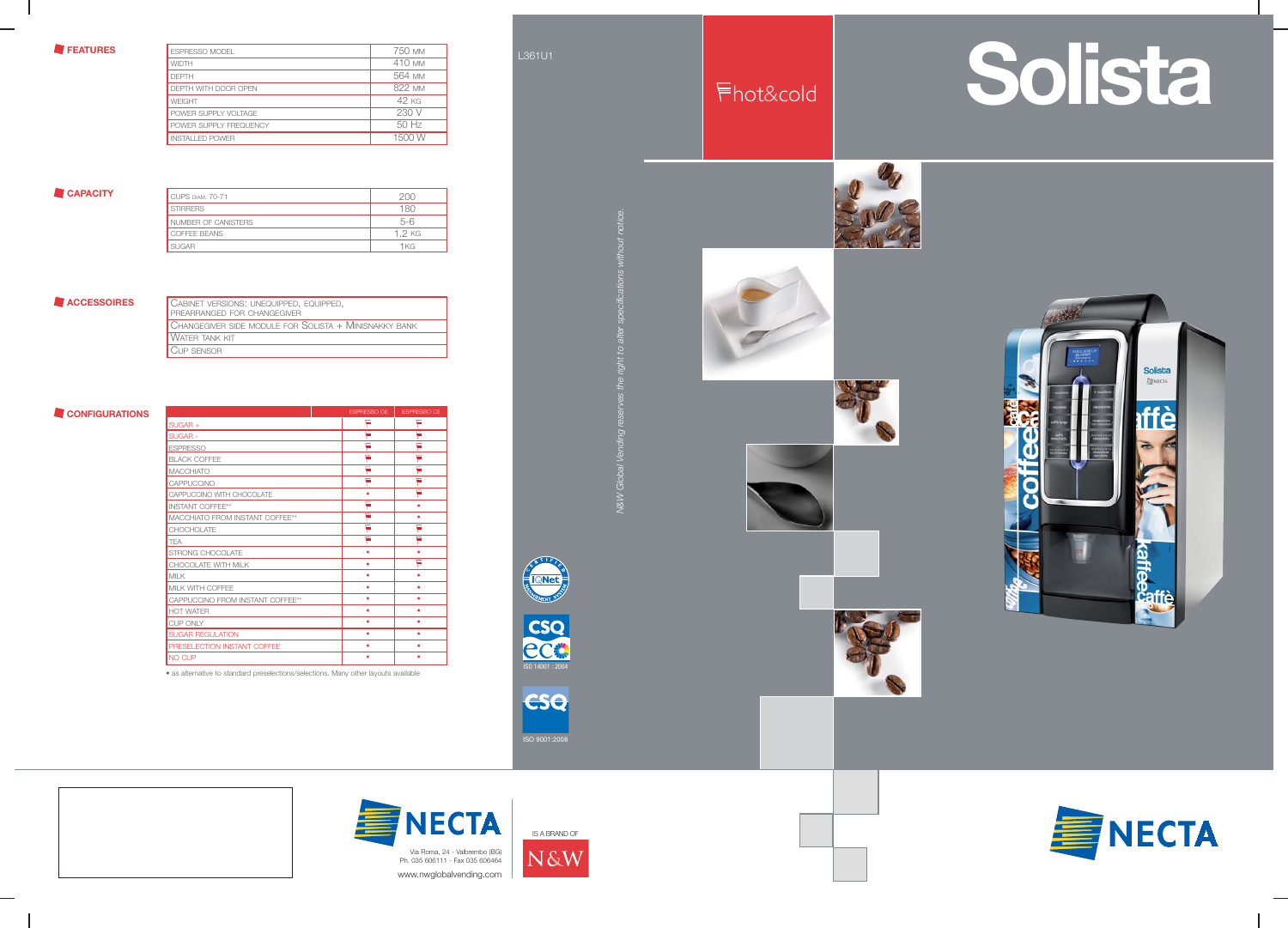







ISO 9001:2008







# L361U1













|  | UABINET VERSIUNS, UNEQUIPPED, EQUIPPED,<br><b>PREARRANGED FOR CHANGEGIVER</b> |
|--|-------------------------------------------------------------------------------|
|  | CHANGEGIVER SIDE MODULE FOR SOLISTA + MINISNAKKY BANK                         |
|  | <b>WATER TANK KIT</b>                                                         |
|  | CUP SENSOR                                                                    |

### **CONFIGURATIONS**

| <b>CUPS DIAM. 70-71</b> |        |
|-------------------------|--------|
| <b>STIRRERS</b>         | 180.   |
| NUMBER OF CANISTERS     | $5-6$  |
| COFFEE BEANS            | 1 2 KG |
| <b>SUGAR</b>            | 1 KG   |

### **ACCESSOIRES CABINET VERSIONS: UNEQUIP**

**FEATURES** 

| ESPRESSO MODEL         | 750 mm           |
|------------------------|------------------|
| <b>WIDTH</b>           | 410 MM           |
| <b>DEPTH</b>           | 564 MM           |
| DEPTH WITH DOOR OPEN   | 822 MM           |
| <b>WEIGHT</b>          | 42 <sub>KG</sub> |
| POWER SUPPLY VOLTAGE   | 230 V            |
| POWER SUPPLY FREQUENCY | 50 Hz            |
| <b>INSTALLED POWER</b> | 1500 W           |

### **CAPACITY**

| $SIJGAR +$                       | ⋿ | ⊨ |
|----------------------------------|---|---|
| <b>SUGAR-</b>                    | ۰ | ∊ |
| <b>ESPRESSO</b>                  | ∊ | ᇀ |
| <b>BLACK COFFEE</b>              | Ë | ⋿ |
| <b>MACCHIATO</b>                 | Ĕ | ᇀ |
| CAPPUCCINO                       | Ë | Ë |
| CAPPUCCINO WITH CHOCOLATE        | ٠ | Ë |
| <b>INSTANT COFFEE**</b>          | ⊨ | ٠ |
| MACCHIATO FROM INSTANT COFFEE**  | ⋿ | ۰ |
| CHOCHOL ATE                      | ⋷ | ▄ |
| <b>TEA</b>                       | ᇀ | ⋿ |
| STRONG CHOCOLATE                 | ٠ | ٠ |
| CHOCOLATE WITH MILK              | ٠ | Ë |
| <b>MILK</b>                      | ٠ | ۰ |
| MILK WITH COFFEE                 | ٠ |   |
| CAPPUCCINO FROM INSTANT COFFEE** | ۰ | ٠ |
| <b>HOT WATER</b>                 | ٠ | ٠ |
| <b>CUP ONLY</b>                  | ۰ | ۰ |
| <b>SUGAR REGULATION</b>          |   |   |
| PRESELECTION INSTANT COFFEE      |   |   |
| <b>NO CUP</b>                    |   |   |

ESPRESSO C6 ESPRESSO C5

• as alternative to standard preselections/selections. Many other layouts available